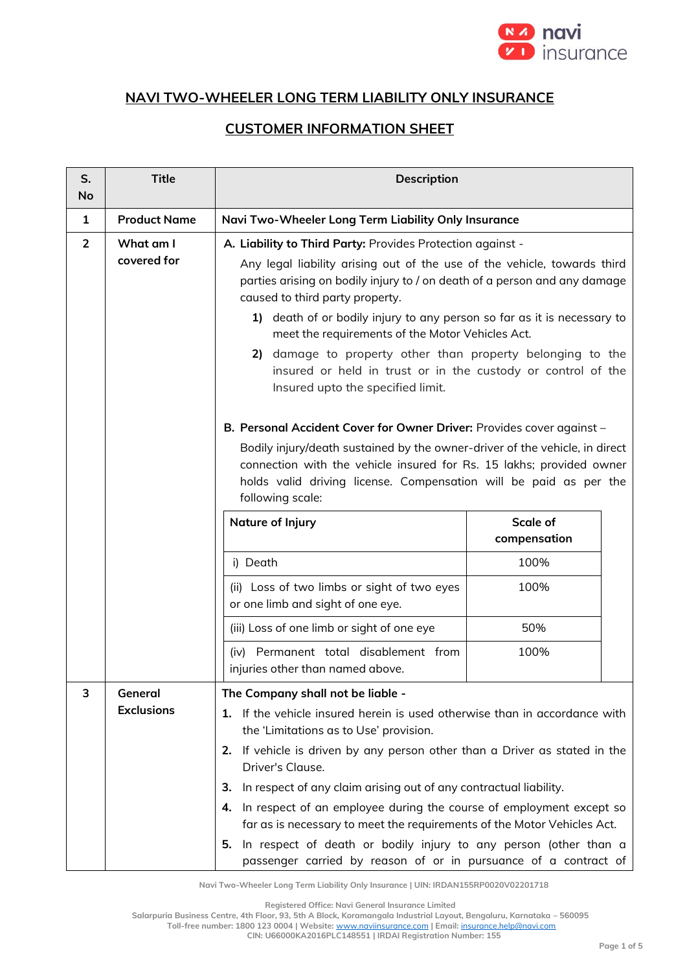

## **NAVI TWO-WHEELER LONG TERM LIABILITY ONLY INSURANCE**

## **CUSTOMER INFORMATION SHEET**

| 1              | <b>Product Name</b>          | Navi Two-Wheeler Long Term Liability Only Insurance                                                                                                                                                                                                                                                                                                                                                                                                                                                                                                                                                                                               |      |
|----------------|------------------------------|---------------------------------------------------------------------------------------------------------------------------------------------------------------------------------------------------------------------------------------------------------------------------------------------------------------------------------------------------------------------------------------------------------------------------------------------------------------------------------------------------------------------------------------------------------------------------------------------------------------------------------------------------|------|
| $\overline{2}$ | What am I<br>covered for     | A. Liability to Third Party: Provides Protection against -<br>Any legal liability arising out of the use of the vehicle, towards third<br>parties arising on bodily injury to / on death of a person and any damage<br>caused to third party property.<br>1) death of or bodily injury to any person so far as it is necessary to<br>meet the requirements of the Motor Vehicles Act.<br>2) damage to property other than property belonging to the<br>insured or held in trust or in the custody or control of the<br>Insured upto the specified limit.                                                                                          |      |
|                |                              | B. Personal Accident Cover for Owner Driver: Provides cover against -<br>Bodily injury/death sustained by the owner-driver of the vehicle, in direct<br>connection with the vehicle insured for Rs. 15 lakhs; provided owner<br>holds valid driving license. Compensation will be paid as per the<br>following scale:<br><b>Scale of</b><br>Nature of Injury<br>compensation                                                                                                                                                                                                                                                                      |      |
|                |                              | i) Death                                                                                                                                                                                                                                                                                                                                                                                                                                                                                                                                                                                                                                          | 100% |
|                |                              | (ii) Loss of two limbs or sight of two eyes<br>or one limb and sight of one eye.                                                                                                                                                                                                                                                                                                                                                                                                                                                                                                                                                                  | 100% |
|                |                              | (iii) Loss of one limb or sight of one eye                                                                                                                                                                                                                                                                                                                                                                                                                                                                                                                                                                                                        | 50%  |
|                |                              | (iv) Permanent total disablement from<br>injuries other than named above.                                                                                                                                                                                                                                                                                                                                                                                                                                                                                                                                                                         | 100% |
| 3              | General<br><b>Exclusions</b> | The Company shall not be liable -<br>If the vehicle insured herein is used otherwise than in accordance with<br>1.<br>the 'Limitations as to Use' provision.<br>If vehicle is driven by any person other than a Driver as stated in the<br>2.<br>Driver's Clause.<br>In respect of any claim arising out of any contractual liability.<br>З.<br>In respect of an employee during the course of employment except so<br>4.<br>far as is necessary to meet the requirements of the Motor Vehicles Act.<br>In respect of death or bodily injury to any person (other than a<br>5.<br>passenger carried by reason of or in pursuance of a contract of |      |

**Navi Two-Wheeler Long Term Liability Only Insurance | UIN: IRDAN155RP0020V02201718**

**Registered Office: Navi General Insurance Limited**

**Salarpuria Business Centre, 4th Floor, 93, 5th A Block, Koramangala Industrial Layout, Bengaluru, Karnataka – 560095**

**Toll-free number: 1800 123 0004 | Website:** [www.naviinsurance.com](http://www.naviinsurance.com/) **| Email:** [insurance.help@navi.com](mailto:insurance.help@navi.com)

**CIN: U66000KA2016PLC148551 | IRDAI Registration Number: 155**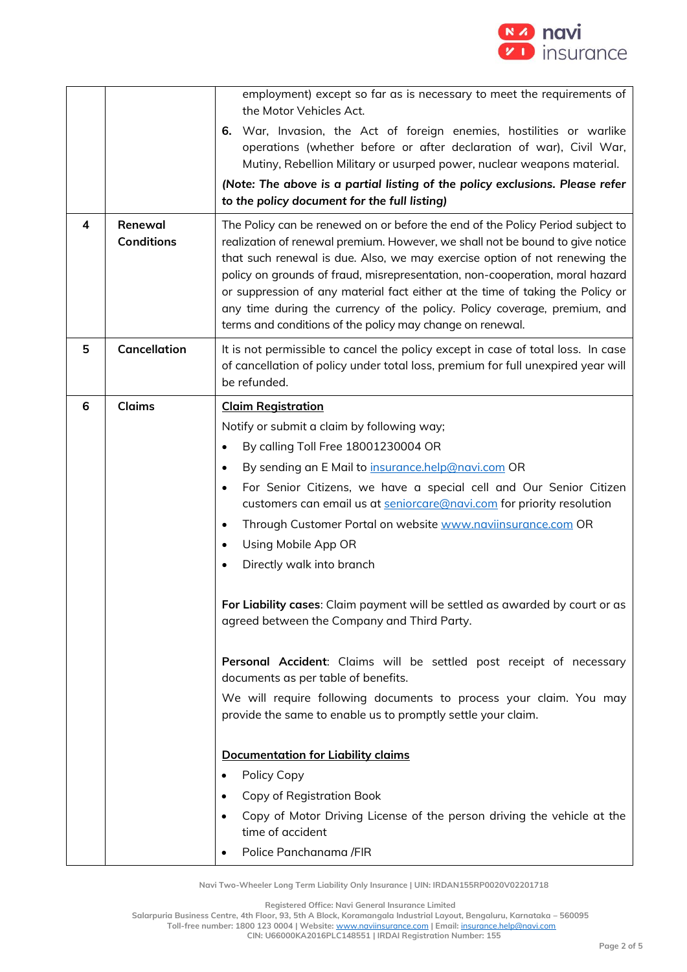

|   |                              | employment) except so far as is necessary to meet the requirements of<br>the Motor Vehicles Act.                                                                                                                                                                                                                                                                                                                                                                                                                                                          |
|---|------------------------------|-----------------------------------------------------------------------------------------------------------------------------------------------------------------------------------------------------------------------------------------------------------------------------------------------------------------------------------------------------------------------------------------------------------------------------------------------------------------------------------------------------------------------------------------------------------|
|   |                              | 6. War, Invasion, the Act of foreign enemies, hostilities or warlike<br>operations (whether before or after declaration of war), Civil War,<br>Mutiny, Rebellion Military or usurped power, nuclear weapons material.                                                                                                                                                                                                                                                                                                                                     |
|   |                              | (Note: The above is a partial listing of the policy exclusions. Please refer<br>to the policy document for the full listing)                                                                                                                                                                                                                                                                                                                                                                                                                              |
| 4 | Renewal<br><b>Conditions</b> | The Policy can be renewed on or before the end of the Policy Period subject to<br>realization of renewal premium. However, we shall not be bound to give notice<br>that such renewal is due. Also, we may exercise option of not renewing the<br>policy on grounds of fraud, misrepresentation, non-cooperation, moral hazard<br>or suppression of any material fact either at the time of taking the Policy or<br>any time during the currency of the policy. Policy coverage, premium, and<br>terms and conditions of the policy may change on renewal. |
| 5 | <b>Cancellation</b>          | It is not permissible to cancel the policy except in case of total loss. In case<br>of cancellation of policy under total loss, premium for full unexpired year will<br>be refunded.                                                                                                                                                                                                                                                                                                                                                                      |
| 6 | <b>Claims</b>                | <b>Claim Registration</b>                                                                                                                                                                                                                                                                                                                                                                                                                                                                                                                                 |
|   |                              | Notify or submit a claim by following way;                                                                                                                                                                                                                                                                                                                                                                                                                                                                                                                |
|   |                              | By calling Toll Free 18001230004 OR<br>$\bullet$                                                                                                                                                                                                                                                                                                                                                                                                                                                                                                          |
|   |                              | By sending an E Mail to insurance.help@navi.com OR<br>$\bullet$                                                                                                                                                                                                                                                                                                                                                                                                                                                                                           |
|   |                              | For Senior Citizens, we have a special cell and Our Senior Citizen<br>$\bullet$<br>customers can email us at seniorcare@navi.com for priority resolution                                                                                                                                                                                                                                                                                                                                                                                                  |
|   |                              | Through Customer Portal on website www.naviinsurance.com OR<br>$\bullet$                                                                                                                                                                                                                                                                                                                                                                                                                                                                                  |
|   |                              | Using Mobile App OR                                                                                                                                                                                                                                                                                                                                                                                                                                                                                                                                       |
|   |                              | Directly walk into branch                                                                                                                                                                                                                                                                                                                                                                                                                                                                                                                                 |
|   |                              | For Liability cases: Claim payment will be settled as awarded by court or as<br>agreed between the Company and Third Party.                                                                                                                                                                                                                                                                                                                                                                                                                               |
|   |                              | Personal Accident: Claims will be settled post receipt of necessary<br>documents as per table of benefits.                                                                                                                                                                                                                                                                                                                                                                                                                                                |
|   |                              | We will require following documents to process your claim. You may<br>provide the same to enable us to promptly settle your claim.                                                                                                                                                                                                                                                                                                                                                                                                                        |
|   |                              |                                                                                                                                                                                                                                                                                                                                                                                                                                                                                                                                                           |
|   |                              | <b>Documentation for Liability claims</b>                                                                                                                                                                                                                                                                                                                                                                                                                                                                                                                 |
|   |                              | Policy Copy<br>$\bullet$<br>Copy of Registration Book                                                                                                                                                                                                                                                                                                                                                                                                                                                                                                     |
|   |                              | Copy of Motor Driving License of the person driving the vehicle at the                                                                                                                                                                                                                                                                                                                                                                                                                                                                                    |
|   |                              | time of accident                                                                                                                                                                                                                                                                                                                                                                                                                                                                                                                                          |
|   |                              | Police Panchanama /FIR                                                                                                                                                                                                                                                                                                                                                                                                                                                                                                                                    |

**Registered Office: Navi General Insurance Limited**

**Salarpuria Business Centre, 4th Floor, 93, 5th A Block, Koramangala Industrial Layout, Bengaluru, Karnataka – 560095**

**Toll-free number: 1800 123 0004 | Website:** [www.naviinsurance.com](http://www.naviinsurance.com/) **| Email:** [insurance.help@navi.com](mailto:insurance.help@navi.com)

**CIN: U66000KA2016PLC148551 | IRDAI Registration Number: 155**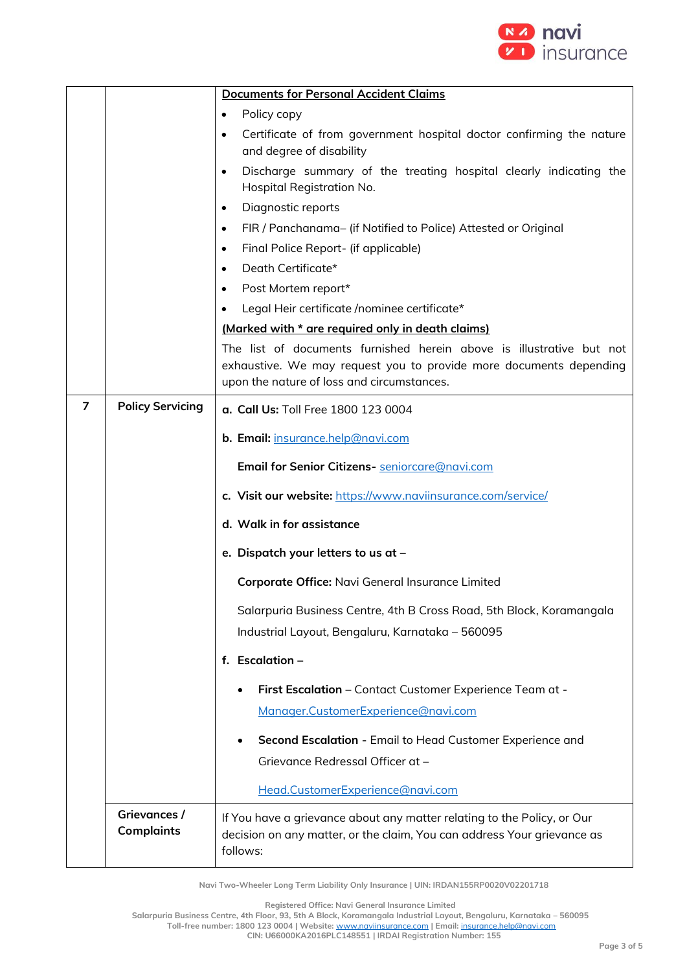

|   |                                   | <b>Documents for Personal Accident Claims</b>                                                                                                                                            |  |
|---|-----------------------------------|------------------------------------------------------------------------------------------------------------------------------------------------------------------------------------------|--|
|   |                                   | Policy copy<br>٠                                                                                                                                                                         |  |
|   |                                   | Certificate of from government hospital doctor confirming the nature<br>٠<br>and degree of disability                                                                                    |  |
|   |                                   | Discharge summary of the treating hospital clearly indicating the<br>$\bullet$<br>Hospital Registration No.                                                                              |  |
|   |                                   | Diagnostic reports<br>$\bullet$                                                                                                                                                          |  |
|   |                                   | FIR / Panchanama- (if Notified to Police) Attested or Original<br>٠                                                                                                                      |  |
|   |                                   | Final Police Report- (if applicable)<br>٠                                                                                                                                                |  |
|   |                                   | Death Certificate*<br>٠                                                                                                                                                                  |  |
|   |                                   | Post Mortem report*<br>$\bullet$                                                                                                                                                         |  |
|   |                                   | Legal Heir certificate /nominee certificate*<br>٠                                                                                                                                        |  |
|   |                                   | (Marked with * are required only in death claims)                                                                                                                                        |  |
|   |                                   | The list of documents furnished herein above is illustrative but not<br>exhaustive. We may request you to provide more documents depending<br>upon the nature of loss and circumstances. |  |
| 7 | <b>Policy Servicing</b>           | a. Call Us: Toll Free 1800 123 0004                                                                                                                                                      |  |
|   |                                   | b. Email: insurance.help@navi.com                                                                                                                                                        |  |
|   |                                   | Email for Senior Citizens- seniorcare@navi.com                                                                                                                                           |  |
|   |                                   | c. Visit our website: https://www.naviinsurance.com/service/                                                                                                                             |  |
|   |                                   | d. Walk in for assistance                                                                                                                                                                |  |
|   |                                   | e. Dispatch your letters to us at -                                                                                                                                                      |  |
|   |                                   | Corporate Office: Navi General Insurance Limited                                                                                                                                         |  |
|   |                                   | Salarpuria Business Centre, 4th B Cross Road, 5th Block, Koramangala<br>Industrial Layout, Bengaluru, Karnataka - 560095                                                                 |  |
|   |                                   | f. Escalation $-$                                                                                                                                                                        |  |
|   |                                   | First Escalation - Contact Customer Experience Team at -                                                                                                                                 |  |
|   |                                   | Manager.CustomerExperience@navi.com                                                                                                                                                      |  |
|   |                                   | Second Escalation - Email to Head Customer Experience and                                                                                                                                |  |
|   |                                   | Grievance Redressal Officer at -                                                                                                                                                         |  |
|   |                                   | Head.CustomerExperience@navi.com                                                                                                                                                         |  |
|   | Grievances /<br><b>Complaints</b> | If You have a grievance about any matter relating to the Policy, or Our<br>decision on any matter, or the claim, You can address Your grievance as<br>follows:                           |  |

**Registered Office: Navi General Insurance Limited**

**Salarpuria Business Centre, 4th Floor, 93, 5th A Block, Koramangala Industrial Layout, Bengaluru, Karnataka – 560095**

**Toll-free number: 1800 123 0004 | Website:** [www.naviinsurance.com](http://www.naviinsurance.com/) **| Email:** [insurance.help@navi.com](mailto:insurance.help@navi.com)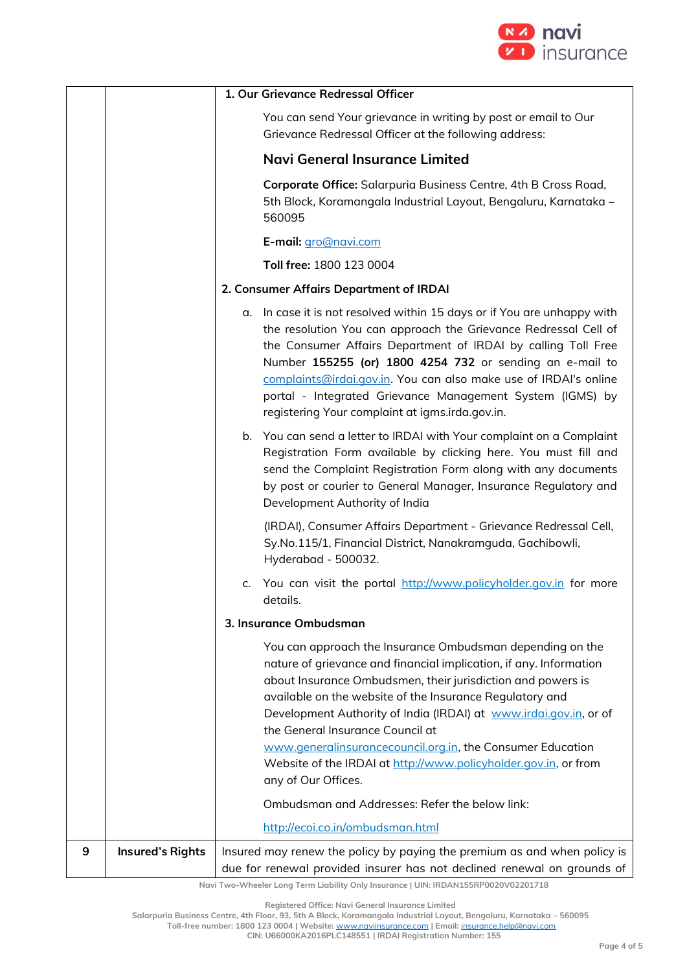

|   | 1. Our Grievance Redressal Officer |                                                                                                                                                                                                                                                                                                                                                                                                                                                                |
|---|------------------------------------|----------------------------------------------------------------------------------------------------------------------------------------------------------------------------------------------------------------------------------------------------------------------------------------------------------------------------------------------------------------------------------------------------------------------------------------------------------------|
|   |                                    | You can send Your grievance in writing by post or email to Our<br>Grievance Redressal Officer at the following address:                                                                                                                                                                                                                                                                                                                                        |
|   |                                    | <b>Navi General Insurance Limited</b>                                                                                                                                                                                                                                                                                                                                                                                                                          |
|   |                                    | Corporate Office: Salarpuria Business Centre, 4th B Cross Road,<br>5th Block, Koramangala Industrial Layout, Bengaluru, Karnataka -<br>560095                                                                                                                                                                                                                                                                                                                  |
|   |                                    | E-mail: gro@navi.com                                                                                                                                                                                                                                                                                                                                                                                                                                           |
|   |                                    | Toll free: 1800 123 0004                                                                                                                                                                                                                                                                                                                                                                                                                                       |
|   |                                    | 2. Consumer Affairs Department of IRDAI                                                                                                                                                                                                                                                                                                                                                                                                                        |
|   |                                    | In case it is not resolved within 15 days or if You are unhappy with<br>α.<br>the resolution You can approach the Grievance Redressal Cell of<br>the Consumer Affairs Department of IRDAI by calling Toll Free<br>Number 155255 (or) 1800 4254 732 or sending an e-mail to<br>complaints@irdai.gov.in. You can also make use of IRDAI's online<br>portal - Integrated Grievance Management System (IGMS) by<br>registering Your complaint at igms.irda.gov.in. |
|   |                                    | b. You can send a letter to IRDAI with Your complaint on a Complaint<br>Registration Form available by clicking here. You must fill and<br>send the Complaint Registration Form along with any documents<br>by post or courier to General Manager, Insurance Regulatory and<br>Development Authority of India                                                                                                                                                  |
|   |                                    | (IRDAI), Consumer Affairs Department - Grievance Redressal Cell,<br>Sy.No.115/1, Financial District, Nanakramguda, Gachibowli,<br>Hyderabad - 500032.                                                                                                                                                                                                                                                                                                          |
|   |                                    | You can visit the portal http://www.policyholder.gov.in for more<br>c.<br>details.                                                                                                                                                                                                                                                                                                                                                                             |
|   |                                    | 3. Insurance Ombudsman                                                                                                                                                                                                                                                                                                                                                                                                                                         |
|   |                                    | You can approach the Insurance Ombudsman depending on the<br>nature of grievance and financial implication, if any. Information<br>about Insurance Ombudsmen, their jurisdiction and powers is<br>available on the website of the Insurance Regulatory and<br>Development Authority of India (IRDAI) at www.irdai.gov.in, or of<br>the General Insurance Council at<br>www.generalinsurancecouncil.org.in, the Consumer Education                              |
|   |                                    | Website of the IRDAI at http://www.policyholder.gov.in, or from<br>any of Our Offices.                                                                                                                                                                                                                                                                                                                                                                         |
|   |                                    | Ombudsman and Addresses: Refer the below link:                                                                                                                                                                                                                                                                                                                                                                                                                 |
|   |                                    | http://ecoi.co.in/ombudsman.html                                                                                                                                                                                                                                                                                                                                                                                                                               |
| 9 | <b>Insured's Rights</b>            | Insured may renew the policy by paying the premium as and when policy is<br>due for renewal provided insurer has not declined renewal on grounds of                                                                                                                                                                                                                                                                                                            |

**Registered Office: Navi General Insurance Limited**

**Salarpuria Business Centre, 4th Floor, 93, 5th A Block, Koramangala Industrial Layout, Bengaluru, Karnataka – 560095**

**Toll-free number: 1800 123 0004 | Website:** [www.naviinsurance.com](http://www.naviinsurance.com/) **| Email:** [insurance.help@navi.com](mailto:insurance.help@navi.com)

**CIN: U66000KA2016PLC148551 | IRDAI Registration Number: 155**